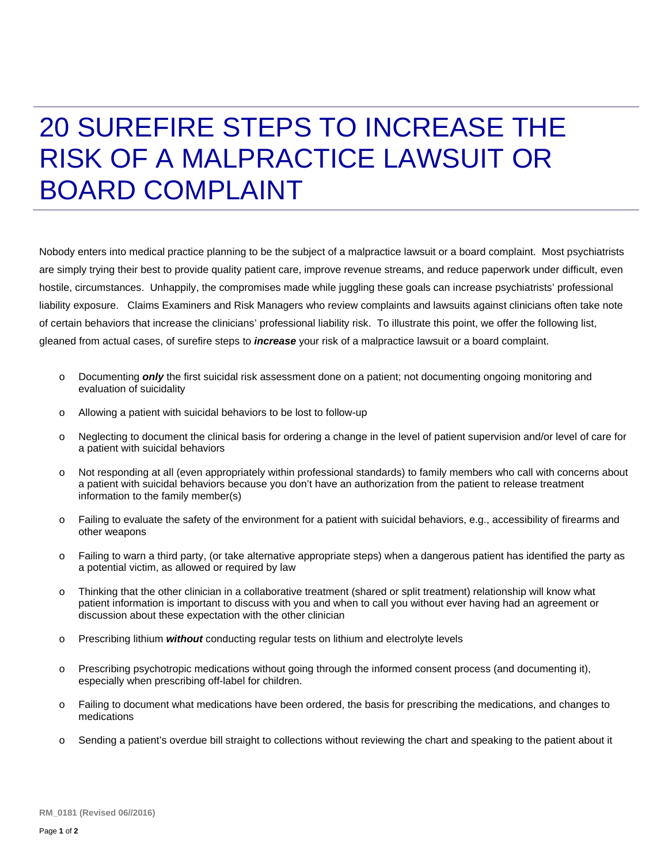## 20 SUREFIRE STEPS TO INCREASE THE RISK OF A MALPRACTICE LAWSUIT OR BOARD COMPLAINT

Nobody enters into medical practice planning to be the subject of a malpractice lawsuit or a board complaint. Most psychiatrists are simply trying their best to provide quality patient care, improve revenue streams, and reduce paperwork under difficult, even hostile, circumstances. Unhappily, the compromises made while juggling these goals can increase psychiatrists' professional liability exposure. Claims Examiners and Risk Managers who review complaints and lawsuits against clinicians often take note of certain behaviors that increase the clinicians' professional liability risk. To illustrate this point, we offer the following list, gleaned from actual cases, of surefire steps to *increase* your risk of a malpractice lawsuit or a board complaint.

- o Documenting *only* the first suicidal risk assessment done on a patient; not documenting ongoing monitoring and evaluation of suicidality
- o Allowing a patient with suicidal behaviors to be lost to follow-up
- o Neglecting to document the clinical basis for ordering a change in the level of patient supervision and/or level of care for a patient with suicidal behaviors
- o Not responding at all (even appropriately within professional standards) to family members who call with concerns about a patient with suicidal behaviors because you don't have an authorization from the patient to release treatment information to the family member(s)
- o Failing to evaluate the safety of the environment for a patient with suicidal behaviors, e.g., accessibility of firearms and other weapons
- o Failing to warn a third party, (or take alternative appropriate steps) when a dangerous patient has identified the party as a potential victim, as allowed or required by law
- o Thinking that the other clinician in a collaborative treatment (shared or split treatment) relationship will know what patient information is important to discuss with you and when to call you without ever having had an agreement or discussion about these expectation with the other clinician
- o Prescribing lithium *without* conducting regular tests on lithium and electrolyte levels
- $\circ$  Prescribing psychotropic medications without going through the informed consent process (and documenting it), especially when prescribing off-label for children.
- o Failing to document what medications have been ordered, the basis for prescribing the medications, and changes to medications
- o Sending a patient's overdue bill straight to collections without reviewing the chart and speaking to the patient about it